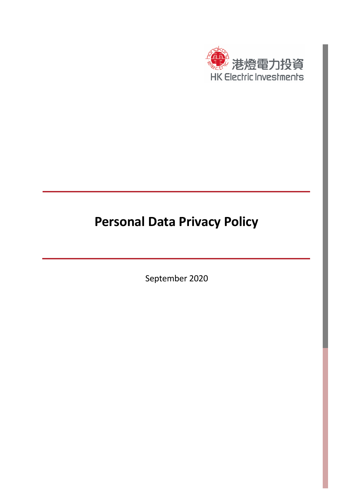

# **Personal Data Privacy Policy**

September 2020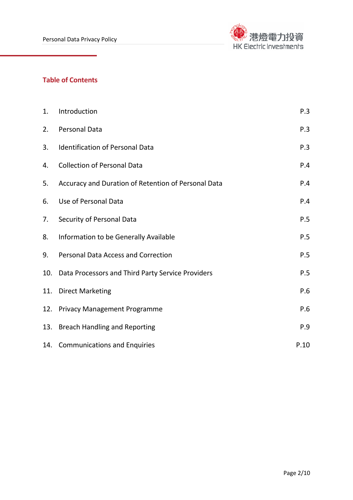

# **Table of Contents**

| 1.  | Introduction                                        | P.3  |
|-----|-----------------------------------------------------|------|
| 2.  | Personal Data                                       | P.3  |
| 3.  | <b>Identification of Personal Data</b>              | P.3  |
| 4.  | <b>Collection of Personal Data</b>                  | P.4  |
| 5.  | Accuracy and Duration of Retention of Personal Data | P.4  |
| 6.  | Use of Personal Data                                | P.4  |
| 7.  | Security of Personal Data                           | P.5  |
| 8.  | Information to be Generally Available               | P.5  |
| 9.  | <b>Personal Data Access and Correction</b>          | P.5  |
| 10. | Data Processors and Third Party Service Providers   | P.5  |
| 11. | <b>Direct Marketing</b>                             | P.6  |
| 12. | <b>Privacy Management Programme</b>                 | P.6  |
| 13. | <b>Breach Handling and Reporting</b>                | P.9  |
|     | 14. Communications and Enquiries                    | P.10 |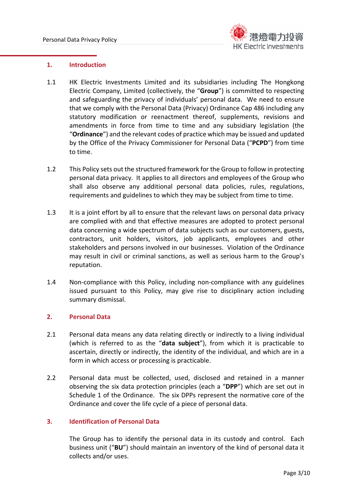

#### **1. Introduction**

- 1.1 HK Electric Investments Limited and its subsidiaries including The Hongkong Electric Company, Limited (collectively, the "**Group**") is committed to respecting and safeguarding the privacy of individuals' personal data. We need to ensure that we comply with the Personal Data (Privacy) Ordinance Cap 486 including any statutory modification or reenactment thereof, supplements, revisions and amendments in force from time to time and any subsidiary legislation (the "**Ordinance**") and the relevant codes of practice which may be issued and updated by the Office of the Privacy Commissioner for Personal Data ("**PCPD**") from time to time.
- 1.2 This Policy sets out the structured framework for the Group to follow in protecting personal data privacy. It applies to all directors and employees of the Group who shall also observe any additional personal data policies, rules, regulations, requirements and guidelines to which they may be subject from time to time.
- 1.3 It is a joint effort by all to ensure that the relevant laws on personal data privacy are complied with and that effective measures are adopted to protect personal data concerning a wide spectrum of data subjects such as our customers, guests, contractors, unit holders, visitors, job applicants, employees and other stakeholders and persons involved in our businesses. Violation of the Ordinance may result in civil or criminal sanctions, as well as serious harm to the Group's reputation.
- 1.4 Non-compliance with this Policy, including non-compliance with any guidelines issued pursuant to this Policy, may give rise to disciplinary action including summary dismissal.

## **2. Personal Data**

- 2.1 Personal data means any data relating directly or indirectly to a living individual (which is referred to as the "**data subject**"), from which it is practicable to ascertain, directly or indirectly, the identity of the individual, and which are in a form in which access or processing is practicable.
- 2.2 Personal data must be collected, used, disclosed and retained in a manner observing the six data protection principles (each a "**DPP**") which are set out in Schedule 1 of the Ordinance. The six DPPs represent the normative core of the Ordinance and cover the life cycle of a piece of personal data.

## **3. Identification of Personal Data**

The Group has to identify the personal data in its custody and control. Each business unit ("**BU**") should maintain an inventory of the kind of personal data it collects and/or uses.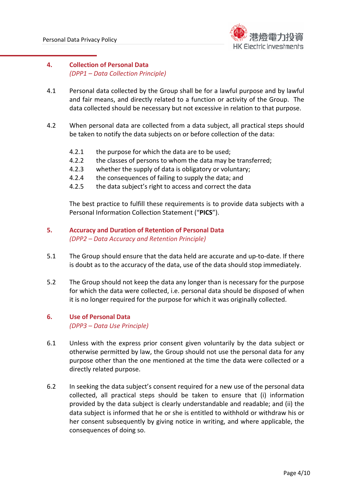

# **4. Collection of Personal Data**  *(DPP1 – Data Collection Principle)*

- 4.1 Personal data collected by the Group shall be for a lawful purpose and by lawful and fair means, and directly related to a function or activity of the Group. The data collected should be necessary but not excessive in relation to that purpose.
- 4.2 When personal data are collected from a data subject, all practical steps should be taken to notify the data subjects on or before collection of the data:
	- 4.2.1 the purpose for which the data are to be used;
	- 4.2.2 the classes of persons to whom the data may be transferred;
	- 4.2.3 whether the supply of data is obligatory or voluntary;
	- 4.2.4 the consequences of failing to supply the data; and
	- 4.2.5 the data subject's right to access and correct the data

The best practice to fulfill these requirements is to provide data subjects with a Personal Information Collection Statement ("**PICS**").

- **5. Accuracy and Duration of Retention of Personal Data**  *(DPP2 – Data Accuracy and Retention Principle)*
- 5.1 The Group should ensure that the data held are accurate and up‐to‐date. If there is doubt as to the accuracy of the data, use of the data should stop immediately.
- 5.2 The Group should not keep the data any longer than is necessary for the purpose for which the data were collected, i.e. personal data should be disposed of when it is no longer required for the purpose for which it was originally collected.

#### **6. Use of Personal Data**  *(DPP3 – Data Use Principle)*

- 6.1 Unless with the express prior consent given voluntarily by the data subject or otherwise permitted by law, the Group should not use the personal data for any purpose other than the one mentioned at the time the data were collected or a directly related purpose.
- 6.2 In seeking the data subject's consent required for a new use of the personal data collected, all practical steps should be taken to ensure that (i) information provided by the data subject is clearly understandable and readable; and (ii) the data subject is informed that he or she is entitled to withhold or withdraw his or her consent subsequently by giving notice in writing, and where applicable, the consequences of doing so.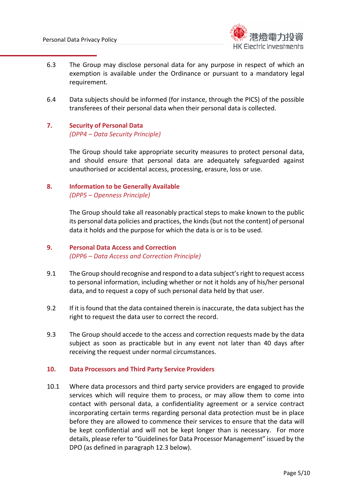

- 6.3 The Group may disclose personal data for any purpose in respect of which an exemption is available under the Ordinance or pursuant to a mandatory legal requirement.
- 6.4 Data subjects should be informed (for instance, through the PICS) of the possible transferees of their personal data when their personal data is collected.
- **7. Security of Personal Data**  *(DPP4 – Data Security Principle)*

The Group should take appropriate security measures to protect personal data, and should ensure that personal data are adequately safeguarded against unauthorised or accidental access, processing, erasure, loss or use.

# **8. Information to be Generally Available**  *(DPP5 – Openness Principle)*

The Group should take all reasonably practical steps to make known to the public its personal data policies and practices, the kinds (but not the content) of personal data it holds and the purpose for which the data is or is to be used.

## **9. Personal Data Access and Correction**  *(DPP6 – Data Access and Correction Principle)*

- 9.1 The Group should recognise and respond to a data subject's right to request access to personal information, including whether or not it holds any of his/her personal data, and to request a copy of such personal data held by that user.
- 9.2 If it is found that the data contained therein is inaccurate, the data subject has the right to request the data user to correct the record.
- 9.3 The Group should accede to the access and correction requests made by the data subject as soon as practicable but in any event not later than 40 days after receiving the request under normal circumstances.

## **10. Data Processors and Third Party Service Providers**

10.1 Where data processors and third party service providers are engaged to provide services which will require them to process, or may allow them to come into contact with personal data, a confidentiality agreement or a service contract incorporating certain terms regarding personal data protection must be in place before they are allowed to commence their services to ensure that the data will be kept confidential and will not be kept longer than is necessary. For more details, please refer to "Guidelines for Data Processor Management" issued by the DPO (as defined in paragraph 12.3 below).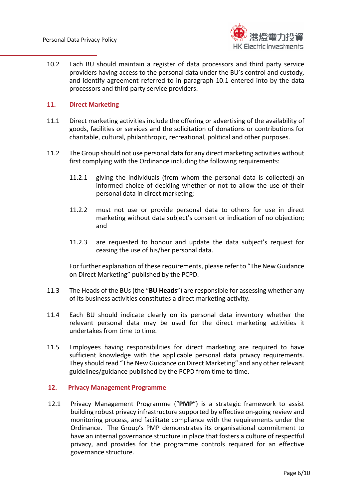

10.2 Each BU should maintain a register of data processors and third party service providers having access to the personal data under the BU's control and custody, and identify agreement referred to in paragraph 10.1 entered into by the data processors and third party service providers.

## **11. Direct Marketing**

- 11.1 Direct marketing activities include the offering or advertising of the availability of goods, facilities or services and the solicitation of donations or contributions for charitable, cultural, philanthropic, recreational, political and other purposes.
- 11.2 The Group should not use personal data for any direct marketing activities without first complying with the Ordinance including the following requirements:
	- 11.2.1 giving the individuals (from whom the personal data is collected) an informed choice of deciding whether or not to allow the use of their personal data in direct marketing;
	- 11.2.2 must not use or provide personal data to others for use in direct marketing without data subject's consent or indication of no objection; and
	- 11.2.3 are requested to honour and update the data subject's request for ceasing the use of his/her personal data.

For further explanation of these requirements, please refer to "The New Guidance on Direct Marketing" published by the PCPD.

- 11.3 The Heads of the BUs (the "**BU Heads**") are responsible for assessing whether any of its business activities constitutes a direct marketing activity.
- 11.4 Each BU should indicate clearly on its personal data inventory whether the relevant personal data may be used for the direct marketing activities it undertakes from time to time.
- 11.5 Employees having responsibilities for direct marketing are required to have sufficient knowledge with the applicable personal data privacy requirements. They should read "The New Guidance on Direct Marketing" and any other relevant guidelines/guidance published by the PCPD from time to time.

#### **12. Privacy Management Programme**

12.1 Privacy Management Programme ("**PMP**") is a strategic framework to assist building robust privacy infrastructure supported by effective on‐going review and monitoring process, and facilitate compliance with the requirements under the Ordinance. The Group's PMP demonstrates its organisational commitment to have an internal governance structure in place that fosters a culture of respectful privacy, and provides for the programme controls required for an effective governance structure.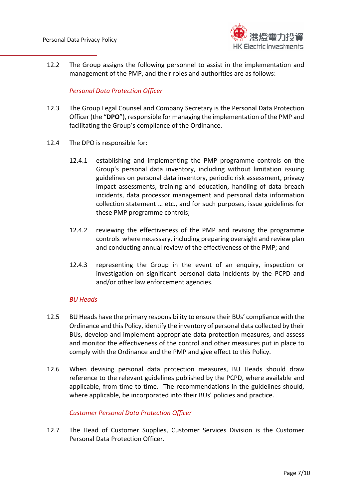

12.2 The Group assigns the following personnel to assist in the implementation and management of the PMP, and their roles and authorities are as follows:

## *Personal Data Protection Officer*

- 12.3 The Group Legal Counsel and Company Secretary is the Personal Data Protection Officer (the "**DPO**"), responsible for managing the implementation of the PMP and facilitating the Group's compliance of the Ordinance.
- 12.4 The DPO is responsible for:
	- 12.4.1 establishing and implementing the PMP programme controls on the Group's personal data inventory, including without limitation issuing guidelines on personal data inventory, periodic risk assessment, privacy impact assessments, training and education, handling of data breach incidents, data processor management and personal data information collection statement … etc., and for such purposes, issue guidelines for these PMP programme controls;
	- 12.4.2 reviewing the effectiveness of the PMP and revising the programme controls where necessary, including preparing oversight and review plan and conducting annual review of the effectiveness of the PMP; and
	- 12.4.3 representing the Group in the event of an enquiry, inspection or investigation on significant personal data incidents by the PCPD and and/or other law enforcement agencies.

## *BU Heads*

- 12.5 BU Heads have the primary responsibility to ensure their BUs' compliance with the Ordinance and this Policy, identify the inventory of personal data collected by their BUs, develop and implement appropriate data protection measures, and assess and monitor the effectiveness of the control and other measures put in place to comply with the Ordinance and the PMP and give effect to this Policy.
- 12.6 When devising personal data protection measures, BU Heads should draw reference to the relevant guidelines published by the PCPD, where available and applicable, from time to time. The recommendations in the guidelines should, where applicable, be incorporated into their BUs' policies and practice.

## *Customer Personal Data Protection Officer*

12.7 The Head of Customer Supplies, Customer Services Division is the Customer Personal Data Protection Officer.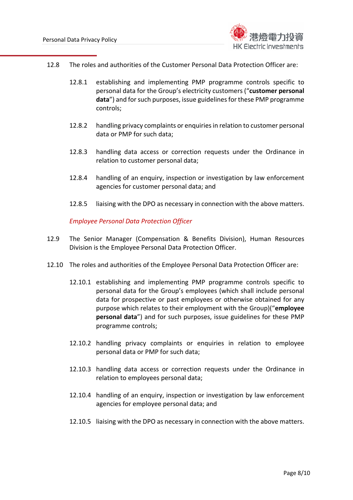

- 12.8 The roles and authorities of the Customer Personal Data Protection Officer are:
	- 12.8.1 establishing and implementing PMP programme controls specific to personal data for the Group's electricity customers ("**customer personal data**") and for such purposes, issue guidelines for these PMP programme controls;
	- 12.8.2 handling privacy complaints or enquiries in relation to customer personal data or PMP for such data;
	- 12.8.3 handling data access or correction requests under the Ordinance in relation to customer personal data;
	- 12.8.4 handling of an enquiry, inspection or investigation by law enforcement agencies for customer personal data; and
	- 12.8.5 liaising with the DPO as necessary in connection with the above matters.

*Employee Personal Data Protection Officer*

- 12.9 The Senior Manager (Compensation & Benefits Division), Human Resources Division is the Employee Personal Data Protection Officer.
- 12.10 The roles and authorities of the Employee Personal Data Protection Officer are:
	- 12.10.1 establishing and implementing PMP programme controls specific to personal data for the Group's employees (which shall include personal data for prospective or past employees or otherwise obtained for any purpose which relates to their employment with the Group)("**employee personal data**") and for such purposes, issue guidelines for these PMP programme controls;
	- 12.10.2 handling privacy complaints or enquiries in relation to employee personal data or PMP for such data;
	- 12.10.3 handling data access or correction requests under the Ordinance in relation to employees personal data;
	- 12.10.4 handling of an enquiry, inspection or investigation by law enforcement agencies for employee personal data; and
	- 12.10.5 liaising with the DPO as necessary in connection with the above matters.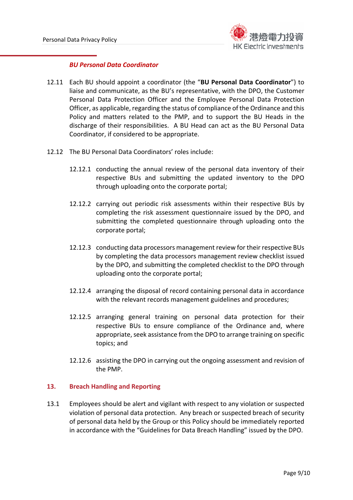

#### *BU Personal Data Coordinator*

- 12.11 Each BU should appoint a coordinator (the "**BU Personal Data Coordinator**") to liaise and communicate, as the BU's representative, with the DPO, the Customer Personal Data Protection Officer and the Employee Personal Data Protection Officer, as applicable, regarding the status of compliance of the Ordinance and this Policy and matters related to the PMP, and to support the BU Heads in the discharge of their responsibilities. A BU Head can act as the BU Personal Data Coordinator, if considered to be appropriate.
- 12.12 The BU Personal Data Coordinators' roles include:
	- 12.12.1 conducting the annual review of the personal data inventory of their respective BUs and submitting the updated inventory to the DPO through uploading onto the corporate portal;
	- 12.12.2 carrying out periodic risk assessments within their respective BUs by completing the risk assessment questionnaire issued by the DPO, and submitting the completed questionnaire through uploading onto the corporate portal;
	- 12.12.3 conducting data processors management review for their respective BUs by completing the data processors management review checklist issued by the DPO, and submitting the completed checklist to the DPO through uploading onto the corporate portal;
	- 12.12.4 arranging the disposal of record containing personal data in accordance with the relevant records management guidelines and procedures;
	- 12.12.5 arranging general training on personal data protection for their respective BUs to ensure compliance of the Ordinance and, where appropriate, seek assistance from the DPO to arrange training on specific topics; and
	- 12.12.6 assisting the DPO in carrying out the ongoing assessment and revision of the PMP.

#### **13. Breach Handling and Reporting**

13.1 Employees should be alert and vigilant with respect to any violation or suspected violation of personal data protection. Any breach or suspected breach of security of personal data held by the Group or this Policy should be immediately reported in accordance with the "Guidelines for Data Breach Handling" issued by the DPO.